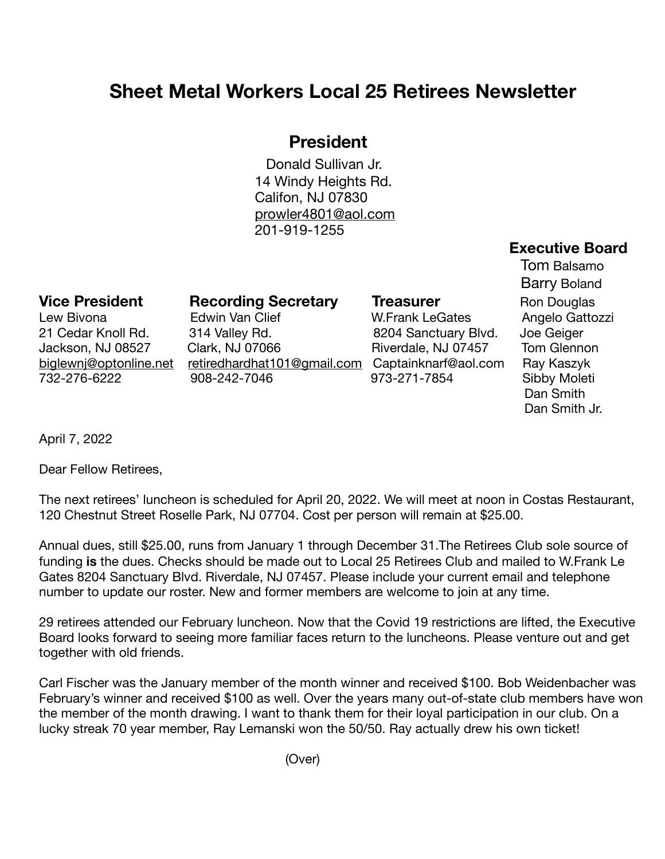## **Sheet Metal Workers Local 25 Retirees Newsletter**

## **President**

Donald Sullivan Jr. 14 Windy Heights Rd. Califon, NJ 07830 [prowler4801@aol.com](mailto:prowler4801@aol.com) 201-919-1255

## **Executive Board**

**Vice President Recording Secretary Treasurer**  Ron Douglas

Lew Bivona **Edwin Van Clief** M.Frank LeGates Angelo Gattozzi 21 Cedar Knoll Rd. 314 Valley Rd. 8204 Sanctuary Blvd. Joe Geiger Jackson, NJ 08527 Clark, NJ 07066 Riverdale, NJ 07457 Tom Glennon [biglewnj@optonline.net](mailto:biglewnj@optonline.net) [retiredhardhat101@gmail.com](mailto:retiredhardhat101@gmail.com) Captainknarf@aol.com Ray Kaszyk 732-276-6222 908-242-7046 973-271-7854 Sibby Moleti

 Tom Balsamo Barry Boland Dan Smith Dan Smith Jr.

April 7, 2022

Dear Fellow Retirees,

The next retirees' luncheon is scheduled for April 20, 2022. We will meet at noon in Costas Restaurant, 120 Chestnut Street Roselle Park, NJ 07704. Cost per person will remain at \$25.00.

Annual dues, still \$25.00, runs from January 1 through December 31.The Retirees Club sole source of funding **is** the dues. Checks should be made out to Local 25 Retirees Club and mailed to W.Frank Le Gates 8204 Sanctuary Blvd. Riverdale, NJ 07457. Please include your current email and telephone number to update our roster. New and former members are welcome to join at any time.

29 retirees attended our February luncheon. Now that the Covid 19 restrictions are lifted, the Executive Board looks forward to seeing more familiar faces return to the luncheons. Please venture out and get together with old friends.

Carl Fischer was the January member of the month winner and received \$100. Bob Weidenbacher was February's winner and received \$100 as well. Over the years many out-of-state club members have won the member of the month drawing. I want to thank them for their loyal participation in our club. On a lucky streak 70 year member, Ray Lemanski won the 50/50. Ray actually drew his own ticket!

(Over)